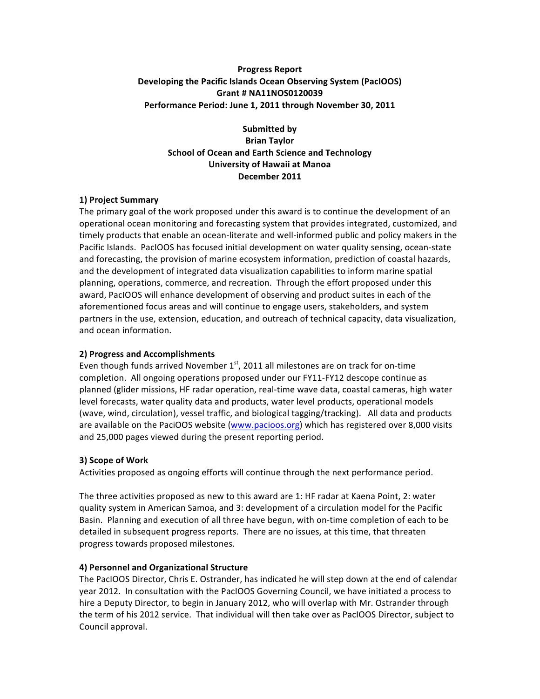## **Progress Report Developing the Pacific Islands Ocean Observing System (PacIOOS) Grant # NA11NOS0120039** Performance Period: June 1, 2011 through November 30, 2011

**Submitted by Brian Taylor School of Ocean and Earth Science and Technology University of Hawaii at Manoa December 2011**

### **1) Project Summary**

The primary goal of the work proposed under this award is to continue the development of an operational ocean monitoring and forecasting system that provides integrated, customized, and timely products that enable an ocean-literate and well-informed public and policy makers in the Pacific Islands. PacIOOS has focused initial development on water quality sensing, ocean-state and forecasting, the provision of marine ecosystem information, prediction of coastal hazards, and the development of integrated data visualization capabilities to inform marine spatial planning, operations, commerce, and recreation. Through the effort proposed under this award, PacIOOS will enhance development of observing and product suites in each of the aforementioned focus areas and will continue to engage users, stakeholders, and system partners in the use, extension, education, and outreach of technical capacity, data visualization, and ocean information.

## **2) Progress and Accomplishments**

Even though funds arrived November  $1^{st}$ , 2011 all milestones are on track for on-time completion. All ongoing operations proposed under our FY11-FY12 descope continue as planned (glider missions, HF radar operation, real-time wave data, coastal cameras, high water level forecasts, water quality data and products, water level products, operational models (wave, wind, circulation), vessel traffic, and biological tagging/tracking). All data and products are available on the PaciOOS website  $(www.pacioos.org)$  which has registered over 8,000 visits and 25,000 pages viewed during the present reporting period.

#### **3) Scope of Work**

Activities proposed as ongoing efforts will continue through the next performance period.

The three activities proposed as new to this award are 1: HF radar at Kaena Point, 2: water quality system in American Samoa, and 3: development of a circulation model for the Pacific Basin. Planning and execution of all three have begun, with on-time completion of each to be detailed in subsequent progress reports. There are no issues, at this time, that threaten progress towards proposed milestones.

# **4) Personnel and Organizational Structure**

The PacIOOS Director, Chris E. Ostrander, has indicated he will step down at the end of calendar year 2012. In consultation with the PacIOOS Governing Council, we have initiated a process to hire a Deputy Director, to begin in January 2012, who will overlap with Mr. Ostrander through the term of his 2012 service. That individual will then take over as PacIOOS Director, subject to Council approval.